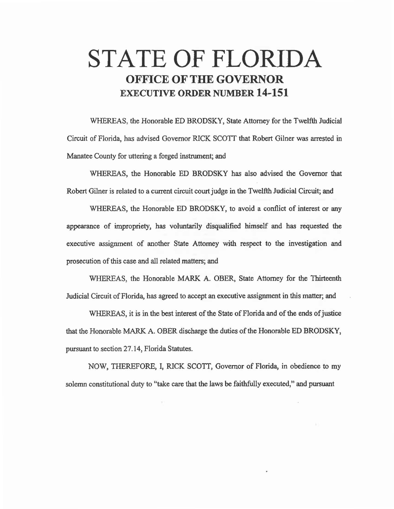## STATE OF FLORIDA OFFICE OF THE GOVERNOR EXECUTIVE ORDER NUMBER 14-151

WHEREAS, the Honorable ED BRODSKY, State Attorney for the Twelfth Judicial Circuit of Florida, has advised Governor RICK SCOTI that Robert Gilner was arrested in Manatee County for uttering a forged instrument; and

WHEREAS, the Honorable ED BRODSKY has also advised the Governor that Robert Gilner is related to a current circuit court judge in the Twelfth Judicial Circuit; and

WHEREAS, the Honorable ED BRODSKY, to avoid a conflict of interest or any appearance of impropriety, has voluntarily disqualified himself and has requested the executive assignment of another State Attorney with respect to the investigation and prosecution of this case and all related matters; and

WHEREAS, the Honorable MARK A. OBER, State Attorney for the Thirteenth Judicial Circuit of Florida, has agreed to accept an executive assignment in this matter; and

WHEREAS, it is in the best interest of the State of Florida and of the ends of justice that the Honorable MARK A. OBER discharge the duties of the Honorable ED BRODSKY, pursuant to section 27 .14, Florida Statutes.

NOW, THEREFORE, I, RICK SCOTI, Governor of Florida, in obedience to my solemn constitutional duty to "take care that the laws be faithfully executed," and pursuant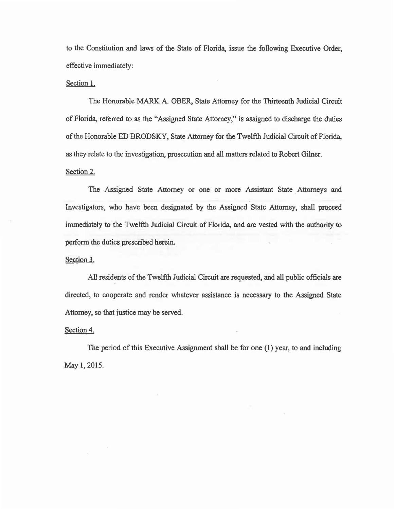to the Constitution and laws of the State of Florida, issue the following Executive Order, effective immediately:

## Section 1.

The Honorable MARK A. OBER, State Attorney for the Thirteenth Judicial Circuit of Florida, referred to as the "Assigned State Attorney," is assigned to discharge the duties of the Honorable ED BRODSKY, State Attorney for the Twelfth Judicial Circuit of Florida, as they relate to the investigation, prosecution and all matters related to Robert Gilner. Section 2.

The Assigned State Attorney or one or more Assistant State Attorneys and Investigators, who have been designated by the Assigned State Attorney, shall proceed immediately to the Twelfth Judicial Circuit of Florida, and are vested with the authority to perform the duties prescribed herein.

## Section 3.

All residents of the Twelfth Judicial Circuit are requested, and all public officials are directed, to cooperate and render whatever assistance is necessary to the Assigned State Attorney, so that justice may be served.

Section 4.

The period of this Executive Assignment shall be for one (1) year, to and including May 1, 2015.